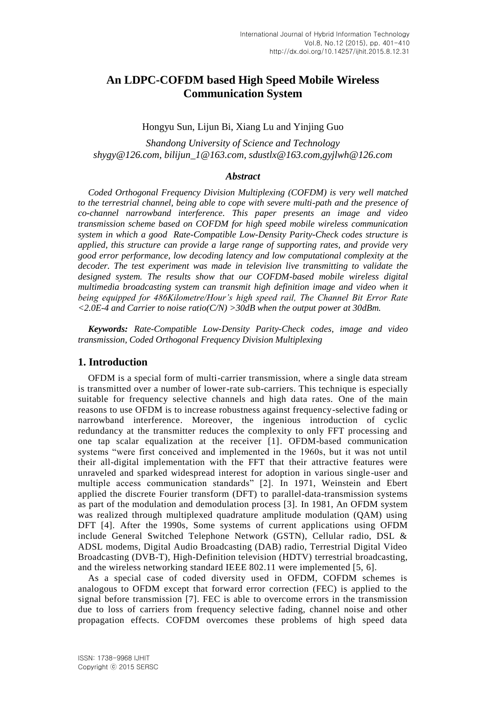# **An LDPC-COFDM based High Speed Mobile Wireless Communication System**

### Hongyu Sun, Lijun Bi, Xiang Lu and Yinjing Guo

*Shandong University of Science and Technology shygy@126.com, bilijun\_1@163.com, sdustlx@163.com,gyjlwh@126.com*

## *Abstract*

*Coded Orthogonal Frequency Division Multiplexing (COFDM) is very well matched to the terrestrial channel, being able to cope with severe multi-path and the presence of co-channel narrowband interference. This paper presents an image and video transmission scheme based on COFDM for high speed mobile wireless communication system in which a good Rate-Compatible Low-Density Parity-Check codes structure is applied, this structure can provide a large range of supporting rates, and provide very good error performance, low decoding latency and low computational complexity at the decoder. The test experiment was made in television live transmitting to validate the designed system. The results show that our COFDM-based mobile wireless digital multimedia broadcasting system can transmit high definition image and video when it being equipped for 486Kilometre/Hour's high speed rail, The Channel Bit Error Rate <2.0E-4 and Carrier to noise ratio(C/N) >30dB when the output power at 30dBm.*

*Keywords: Rate-Compatible Low-Density Parity-Check codes, image and video transmission, Coded Orthogonal Frequency Division Multiplexing*

### **1. Introduction**

OFDM is a special form of multi-carrier transmission, where a single data stream is transmitted over a number of lower-rate sub-carriers. This technique is especially suitable for frequency selective channels and high data rates. One of the main reasons to use OFDM is to increase robustness against frequency-selective fading or narrowband interference. Moreover, the ingenious introduction of cyclic redundancy at the transmitter reduces the complexity to only FFT processing and one tap scalar equalization at the receiver [1]. OFDM-based communication systems "were first conceived and implemented in the 1960s, but it was not until their all-digital implementation with the FFT that their attractive features were unraveled and sparked widespread interest for adoption in various single -user and multiple access communication standards" [2]. In 1971, Weinstein and Ebert applied the discrete Fourier transform (DFT) to parallel-data-transmission systems as part of the modulation and demodulation process [3]. In 1981, An OFDM system was realized through multiplexed quadrature amplitude modulation (QAM) using DFT [4]. After the 1990s, Some systems of current applications using OFDM include General Switched Telephone Network (GSTN), Cellular radio, DSL & ADSL modems, Digital Audio Broadcasting (DAB) radio, Terrestrial Digital Video Broadcasting (DVB-T), High-Definition television (HDTV) terrestrial broadcasting, and the wireless networking standard IEEE 802.11 were implemented [5, 6].

As a special case of coded diversity used in OFDM, COFDM schemes is analogous to OFDM except that forward error correction (FEC) is applied to the signal before transmission [7]. FEC is able to overcome errors in the transmission due to loss of carriers from frequency selective fading, channel noise and other propagation effects. COFDM overcomes these problems of high speed data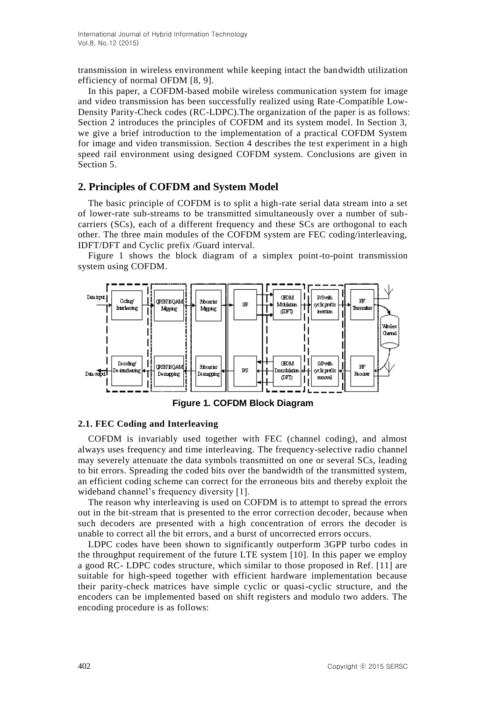transmission in wireless environment while keeping intact the bandwidth utilization efficiency of normal OFDM [8, 9].

In this paper, a COFDM-based mobile wireless communication system for image and video transmission has been successfully realized using Rate-Compatible Low-Density Parity-Check codes (RC-LDPC).The organization of the paper is as follows: Section 2 introduces the principles of COFDM and its system model. In Section 3, we give a brief introduction to the implementation of a practical COFDM System for image and video transmission. Section 4 describes the test experiment in a high speed rail environment using designed COFDM system. Conclusions are given in Section 5.

# **2. Principles of COFDM and System Model**

The basic principle of COFDM is to split a high-rate serial data stream into a set of lower-rate sub-streams to be transmitted simultaneously over a number of subcarriers (SCs), each of a different frequency and these SCs are orthogonal to each other. The three main modules of the COFDM system are FEC coding/interleaving, IDFT/DFT and Cyclic prefix /Guard interval.

Figure 1 shows the block diagram of a simplex point-to-point transmission system using COFDM.



**Figure 1. COFDM Block Diagram**

### **2.1. FEC Coding and Interleaving**

COFDM is invariably used together with FEC (channel coding), and almost always uses frequency and time interleaving. The frequency-selective radio channel may severely attenuate the data symbols transmitted on one or several SCs, leading to bit errors. Spreading the coded bits over the bandwidth of the transmitted system, an efficient coding scheme can correct for the erroneous bits and thereby exploit the wideband channel's frequency diversity [1].

The reason why interleaving is used on COFDM is to attempt to spread the errors out in the bit-stream that is presented to the error correction decoder, because when such decoders are presented with a high concentration of errors the decoder is unable to correct all the bit errors, and a burst of uncorrected errors occurs.

LDPC codes have been shown to significantly outperform 3GPP turbo codes in the throughput requirement of the future LTE system [10]. In this paper we employ a good RC- LDPC codes structure, which similar to those proposed in Ref. [11] are suitable for high-speed together with efficient hardware implementation because their parity-check matrices have simple cyclic or quasi-cyclic structure, and the encoders can be implemented based on shift registers and modulo two adders. The encoding procedure is as follows: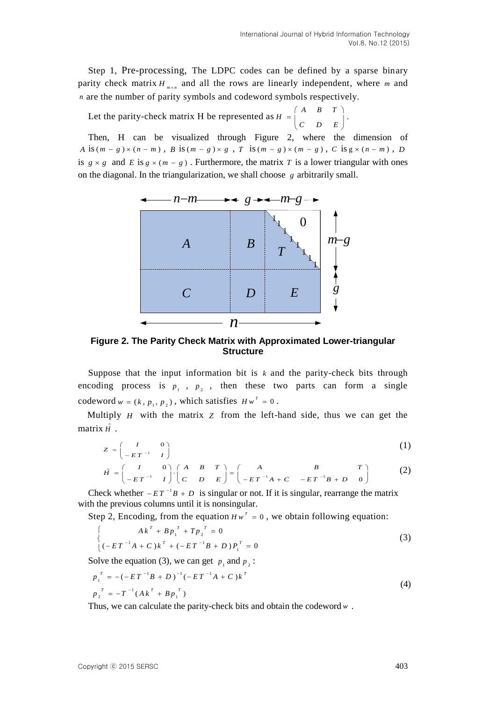.

Step 1, Pre-processing, The LDPC codes can be defined by a sparse binary parity check matrix  $H_{m \times n}$  and all the rows are linearly independent, where m and *n* are the number of parity symbols and codeword symbols respectively.

Let the parity-check matrix H be represented as *A B T*  $H = \begin{bmatrix} C & D & E \end{bmatrix}$  $(A \quad B \quad T)$  $= \begin{vmatrix} 1 & 1 \\ 0 & 1 \end{vmatrix}$ .  $\begin{pmatrix} C & D & E \end{pmatrix}$ 

Then, H can be visualized through Figure 2, where the dimension of *A* is  $(m - g) \times (n - m)$ , *B* is  $(m - g) \times g$ , *T* is  $(m - g) \times (m - g)$ , *C* is  $g \times (n - m)$ , *D* is  $g \times g$  and *E* is  $g \times (m - g)$ . Furthermore, the matrix *T* is a lower triangular with ones on the diagonal. In the triangularization, we shall choose *g* arbitrarily small.



**Figure 2. The Parity Check Matrix with Approximated Lower-triangular Structure**

Suppose that the input information bit is  $k$  and the parity-check bits through encoding process is  $p_1$ ,  $p_2$ , then these two parts can form a single codeword  $w = (k, p_1, p_2)$ , which satisfies  $Hw^T = 0$ .

Multiply *H* with the matrix *Z* from the left-hand side, thus we can get the matrix  $\hat{H}$ .

$$
Z = \begin{pmatrix} I & 0 \\ -ET^{-1} & I \end{pmatrix}
$$
\n
$$
\hat{H} = \begin{pmatrix} I & 0 \\ 0 & 1 \end{pmatrix} \begin{pmatrix} A & B & T \\ 0 & 0 \end{pmatrix} = \begin{pmatrix} A & B & T \\ 0 & 0 \end{pmatrix} \begin{pmatrix} A & B & T \\ 0 & 0 \end{pmatrix} \qquad (A \quad B \quad (2)
$$

$$
Z = \begin{pmatrix} 1 & 0 \\ -ET^{-1} & I \end{pmatrix}
$$
  
\n
$$
\hat{H} = \begin{pmatrix} I & 0 \\ -ET^{-1} & I \end{pmatrix} \cdot \begin{pmatrix} A & B & T \\ C & D & E \end{pmatrix} = \begin{pmatrix} A & B & T \\ -ET^{-1}A + C & -ET^{-1}B + D & 0 \end{pmatrix}
$$
 (2)

Check whether  $-ET^{-1}B + D$  is singular or not. If it is singular, rearrange the matrix with the previous columns until it is nonsingular.

Step 2, Encoding, from the equation 
$$
Hw^T = 0
$$
, we obtain following equation:\n
$$
\begin{cases}\nA k^T + B p_1^T + T p_2^T = 0 \\
(-E T^{-1} A + C) k^T + (-E T^{-1} B + D) P_1^T = 0\n\end{cases}
$$
\n(3)

Solve the equation (3), we can get  $p_1$  and  $p_2$ :

$$
p_1^T = -(-ET^{-1}B + D)^{-1}(-ET^{-1}A + C)k^T
$$
  
\n
$$
p_2^T = -T^{-1}(Ak^T + Bp_1^T)
$$
\n(4)

Thus, we can calculate the parity-check bits and obtain the codeword *w* .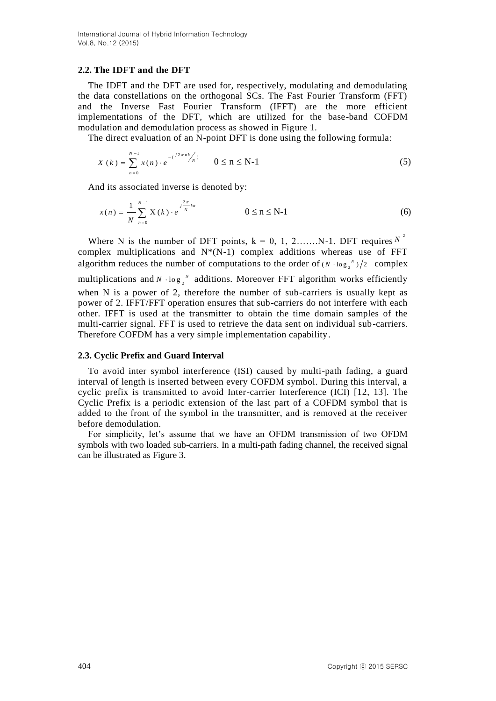### **2.2. The IDFT and the DFT**

The IDFT and the DFT are used for, respectively, modulating and demodulating the data constellations on the orthogonal SCs. The Fast Fourier Transform (FFT) and the Inverse Fast Fourier Transform (IFFT) are the more efficient implementations of the DFT, which are utilized for the base-band COFDM modulation and demodulation process as showed in Figure 1.

The direct evaluation of an N-point DFT is done using the following formula:

$$
X(k) = \sum_{n=0}^{N-1} x(n) \cdot e^{-\left(\frac{j2\pi nk}{N}\right)} \qquad 0 \le n \le N-1
$$
 (5)

And its associated inverse is denoted by:

$$
x(n) = \frac{1}{N} \sum_{n=0}^{N-1} X(k) \cdot e^{-j \frac{2\pi}{N} k n} \qquad 0 \le n \le N-1
$$
 (6)

Where N is the number of DFT points,  $k = 0, 1, 2, \ldots, N-1$ . DFT requires  $N^2$ complex multiplications and  $N^*(N-1)$  complex additions whereas use of FFT algorithm reduces the number of computations to the order of  $(N \cdot \log_2 N)/2$  complex

multiplications and  $N \cdot \log_2 N$  additions. Moreover FFT algorithm works efficiently when N is a power of 2, therefore the number of sub-carriers is usually kept as power of 2. IFFT/FFT operation ensures that sub-carriers do not interfere with each other. IFFT is used at the transmitter to obtain the time domain samples of the multi-carrier signal. FFT is used to retrieve the data sent on individual sub-carriers. Therefore COFDM has a very simple implementation capability.

#### **2.3. Cyclic Prefix and Guard Interval**

To avoid inter symbol interference (ISI) caused by multi-path fading, a guard interval of length is inserted between every COFDM symbol. During this interval, a cyclic prefix is transmitted to avoid Inter-carrier Interference (ICI) [12, 13]. The Cyclic Prefix is a periodic extension of the last part of a COFDM symbol that is added to the front of the symbol in the transmitter, and is removed at the receiver before demodulation.

For simplicity, let's assume that we have an OFDM transmission of two OFDM symbols with two loaded sub-carriers. In a multi-path fading channel, the received signal can be illustrated as Figure 3.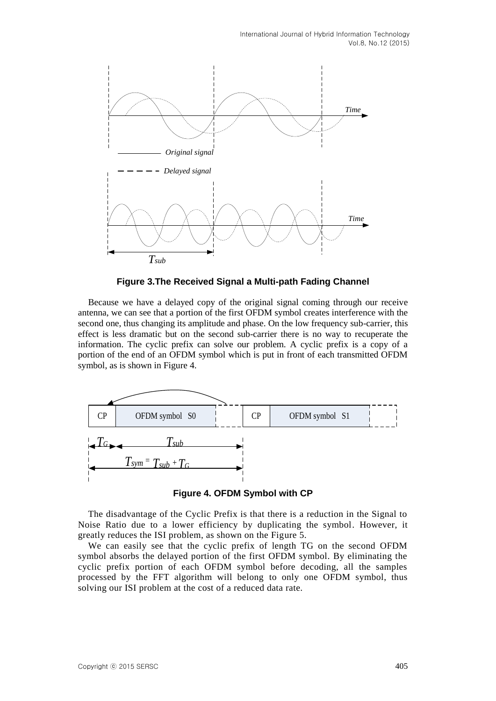International Journal of Hybrid Information Technology Vol.8, No.12 (2015)



**Figure 3.The Received Signal a Multi-path Fading Channel**

Because we have a delayed copy of the original signal coming through our receive antenna, we can see that a portion of the first OFDM symbol creates interference with the second one, thus changing its amplitude and phase. On the low frequency sub-carrier, this effect is less dramatic but on the second sub-carrier there is no way to recuperate the information. The cyclic prefix can solve our problem. A cyclic prefix is a copy of a portion of the end of an OFDM symbol which is put in front of each transmitted OFDM symbol, as is shown in Figure 4.



**Figure 4. OFDM Symbol with CP**

The disadvantage of the Cyclic Prefix is that there is a reduction in the Signal to Noise Ratio due to a lower efficiency by duplicating the symbol. However, it greatly reduces the ISI problem, as shown on the Figure 5.

We can easily see that the cyclic prefix of length TG on the second OFDM symbol absorbs the delayed portion of the first OFDM symbol. By eliminating the cyclic prefix portion of each OFDM symbol before decoding, all the samples processed by the FFT algorithm will belong to only one OFDM symbol, thus solving our ISI problem at the cost of a reduced data rate.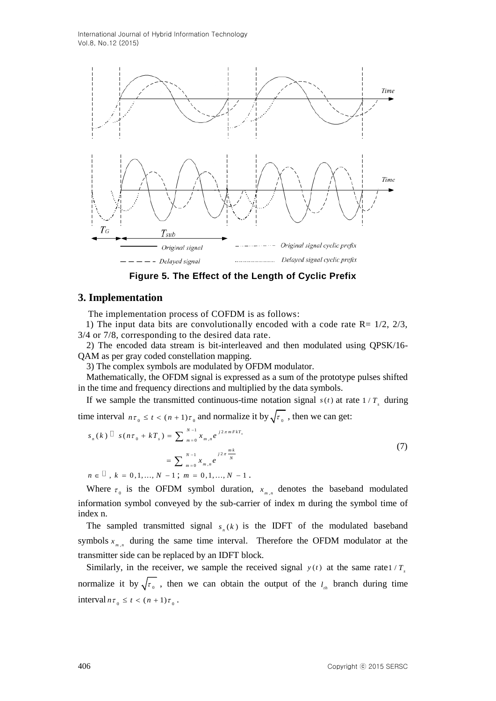International Journal of Hybrid Information Technology Vol.8, No.12 (2015)



**Figure 5. The Effect of the Length of Cyclic Prefix**

### **3. Implementation**

The implementation process of COFDM is as follows:

1) The input data bits are convolutionally encoded with a code rate  $R = 1/2$ ,  $2/3$ , 3/4 or 7/8, corresponding to the desired data rate.

2) The encoded data stream is bit-interleaved and then modulated using QPSK/16- QAM as per gray coded constellation mapping.

3) The complex symbols are modulated by OFDM modulator.

Mathematically, the OFDM signal is expressed as a sum of the prototype pulses shifted in the time and frequency directions and multiplied by the data symbols.

If we sample the transmitted continuous-time notation signal  $s(t)$  at rate  $1/T_s$  during

time interval  $n\tau_0 \le t < (n+1)\tau_0$  and normalize it by  $\sqrt{\tau_0}$ , then we can get:

$$
s_n(k) \Box s(n\tau_0 + kT_s) = \sum_{m=0}^{N-1} x_{m,n} e^{j2\pi mFkT_s}
$$
  
= 
$$
\sum_{m=0}^{N-1} x_{m,n} e^{j2\pi \frac{mk}{N}}
$$
  

$$
n \in \Box, k = 0, 1, ..., N - 1; m = 0, 1, ..., N - 1.
$$
 (7)

Where  $\tau_0$  is the OFDM symbol duration,  $x_{m,n}$  denotes the baseband modulated information symbol conveyed by the sub-carrier of index m during the symbol time of index n.

The sampled transmitted signal  $s_n(k)$  is the IDFT of the modulated baseband symbols  $x_{m,n}$  during the same time interval. Therefore the OFDM modulator at the transmitter side can be replaced by an IDFT block.

Similarly, in the receiver, we sample the received signal  $y(t)$  at the same rate 1/*T*<sub>s</sub> normalize it by  $\sqrt{\tau_{0}}$ , then we can obtain the output of the  $l_{th}$  branch during time interval  $n\tau_0 \leq t < (n+1)\tau_0$ .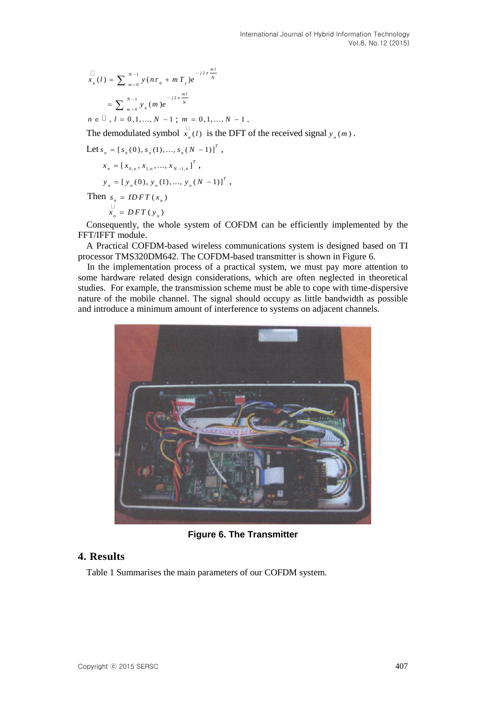$$
x_n(l) = \sum_{m=0}^{N-1} y(n\tau_0 + mT_s)e^{-j2\pi \frac{ml}{N}}
$$
  
= 
$$
\sum_{m=0}^{N-1} y_n(m)e^{-j2\pi \frac{ml}{N}}
$$
  

$$
n \in \mathbb{Z}, l = 0,1,...,N-1 ; m = 0,1,...,N-1.
$$

The demodulated symbol  $x_{n}(l)$  $\epsilon_n(t)$  is the DFT of the received signal  $y_n(m)$ .

Let 
$$
s_n = [s_n(0), s_n(1), ..., s_n(N-1)]^T
$$
,  
\n $x_n = [x_{0,n}, x_{1,n}, ..., x_{N-1,n}]^T$ ,  
\n $y_n = [y_n(0), y_n(1), ..., y_n(N-1)]^T$ ,

Then  $s_n = IDFT(x_n)$  $\overline{\phantom{a}}$ 

 $x_n = DFT(y_n)$ 

Consequently, the whole system of COFDM can be efficiently implemented by the FFT/IFFT module.

A Practical COFDM-based wireless communications system is designed based on TI processor TMS320DM642. The COFDM-based transmitter is shown in Figure 6.

In the implementation process of a practical system, we must pay more attention to some hardware related design considerations, which are often neglected in theoretical studies. For example, the transmission scheme must be able to cope with time-dispersive nature of the mobile channel. The signal should occupy as little bandwidth as possible and introduce a minimum amount of interference to systems on adjacent channels.



**Figure 6. The Transmitter**

# **4. Results**

Table 1 Summarises the main parameters of our COFDM system.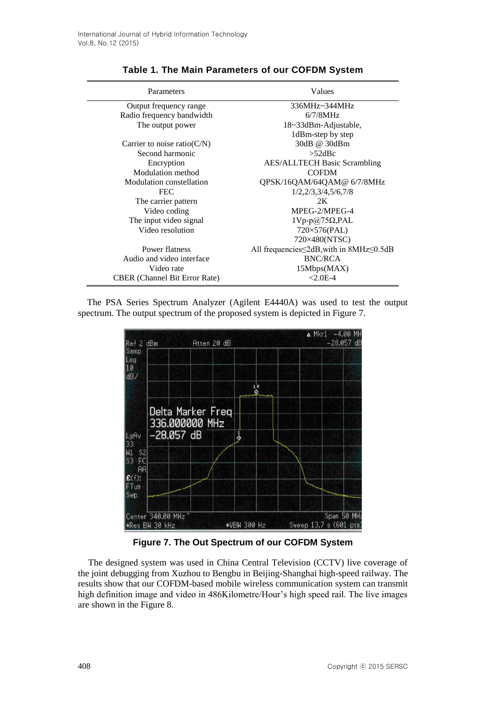| Parameters                           | Values                                    |
|--------------------------------------|-------------------------------------------|
| Output frequency range               | 336MHz~344MHz                             |
| Radio frequency bandwidth            | $6/7/8$ MHz                               |
| The output power                     | 18~33dBm-Adjustable,                      |
|                                      | 1dBm-step by step                         |
| Carrier to noise ratio( $C/N$ )      | 30dB @ 30dBm                              |
| Second harmonic                      | $>52$ dBc                                 |
| Encryption                           | <b>AES/ALLTECH Basic Scrambling</b>       |
| Modulation method                    | <b>COFDM</b>                              |
| Modulation constellation             | QPSK/16QAM/64QAM@ 6/7/8MHz                |
| <b>FEC</b>                           | 1/2,2/3,3/4,5/6,7/8                       |
| The carrier pattern                  | 2K                                        |
| Video coding                         | MPEG-2/MPEG-4                             |
| The input video signal               | $1Vp-p@75\Omega, PAL$                     |
| Video resolution                     | $720\times576$ (PAL)                      |
|                                      | 720×480(NTSC)                             |
| Power flatness                       | All frequencies ≤2dB, with in 8MHz ≤0.5dB |
| Audio and video interface            | <b>BNC/RCA</b>                            |
| Video rate                           | 15Mbps(MAX)                               |
| <b>CBER</b> (Channel Bit Error Rate) | $< 2.0E - 4$                              |

# **Table 1. The Main Parameters of our COFDM System**

The PSA Series Spectrum Analyzer (Agilent E4440A) was used to test the output spectrum. The output spectrum of the proposed system is depicted in Figure 7.



**Figure 7. The Out Spectrum of our COFDM System**

The designed system was used in China Central Television (CCTV) live coverage of the joint debugging from Xuzhou to Bengbu in Beijing-Shanghai high-speed railway. The results show that our COFDM-based mobile wireless communication system can transmit high definition image and video in 486Kilometre/Hour's high speed rail. The live images are shown in the Figure 8.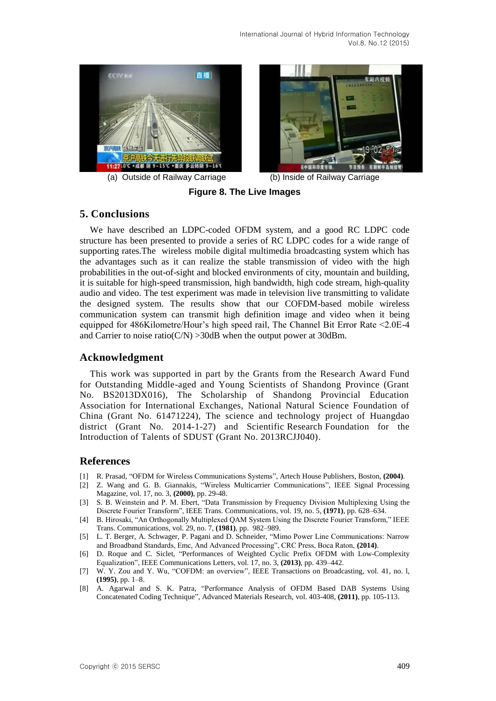



(a) Outside of Railway Carriage (b) Inside of Railway Carriage

**Figure 8. The Live Images**

# **5. Conclusions**

We have described an LDPC-coded OFDM system, and a good RC LDPC code structure has been presented to provide a series of RC LDPC codes for a wide range of supporting rates.The wireless mobile digital multimedia broadcasting system which has the advantages such as it can realize the stable transmission of video with the high probabilities in the out-of-sight and blocked environments of city, mountain and building, it is suitable for high-speed transmission, high bandwidth, high code stream, high-quality audio and video. The test experiment was made in television live transmitting to validate the designed system. The results show that our COFDM-based mobile wireless communication system can transmit high definition image and video when it being equipped for 486Kilometre/Hour's high speed rail, The Channel Bit Error Rate <2.0E-4 and Carrier to noise ratio( $C/N$ ) > 30dB when the output power at 30dBm.

# **Acknowledgment**

This work was supported in part by the Grants from the Research Award Fund for Outstanding Middle-aged and Young Scientists of Shandong Province (Grant No. BS2013DX016), The Scholarship of Shandong Provincial Education Association for International Exchanges, National Natural Science Foundation of China (Grant No. 61471224), The science and technology project of Huangdao district (Grant No. 2014-1-27) and Scientific Research Foundation for the Introduction of Talents of SDUST (Grant No. 2013RCJJ040).

# **References**

- [1] R. Prasad, "OFDM for Wireless Communications Systems", Artech House Publishers, Boston, **(2004)**.
- [2] Z. Wang and G. B. Giannakis, "Wireless Multicarrier Communications", IEEE Signal Processing Magazine, vol. 17, no. 3, **(2000)**, pp. 29-48.
- [3] S. B. Weinstein and P. M. Ebert, "Data Transmission by Frequency Division Multiplexing Using the Discrete Fourier Transform", IEEE Trans. Communications, vol. 19, no. 5, **(1971)**, pp. 628–634.
- [4] B. Hirosaki, "An Orthogonally Multiplexed QAM System Using the Discrete Fourier Transform," IEEE Trans. Communications, vol. 29, no. 7, **(1981)**, pp. 982–989.
- [5] L. T. Berger, A. Schwager, P. Pagani and D. Schneider, "Mimo Power Line Communications: Narrow and Broadband Standards, Emc, And Advanced Processing", CRC Press, Boca Raton, **(2014)**.
- [6] D. Roque and C. Siclet, "Performances of Weighted Cyclic Prefix OFDM with Low-Complexity Equalization", IEEE Communications Letters, vol. 17, no. 3, **(2013)**, pp. 439–442.
- [7] W. Y. Zou and Y. Wu, "COFDM: an overview", IEEE Transactions on Broadcasting, vol. 41, no. l, **(1995)**, pp. 1–8.
- [8] A. Agarwal and S. K. Patra, "Performance Analysis of OFDM Based DAB Systems Using Concatenated Coding Technique", Advanced Materials Research, vol. 403-408, **(2011)**, pp. 105-113.